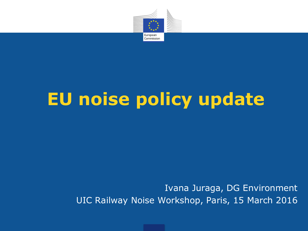

# **EU noise policy update**

Ivana Juraga, DG Environment UIC Railway Noise Workshop, Paris, 15 March 2016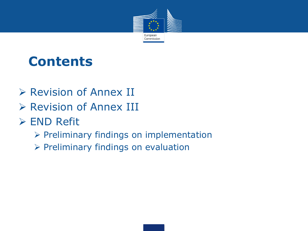

## **Contents**

- Revision of Annex II
- Revision of Annex III
- **≻ END Refit** 
	- $\triangleright$  Preliminary findings on implementation
	- $\triangleright$  Preliminary findings on evaluation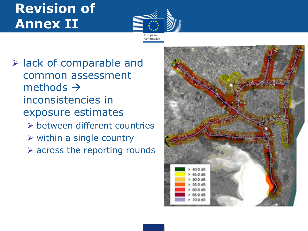# **Revision of Annex II**



- $\triangleright$  lack of comparable and common assessment methods  $\rightarrow$ inconsistencies in exposure estimates between different countries
	- $\triangleright$  within a single country
	- $\triangleright$  across the reporting rounds

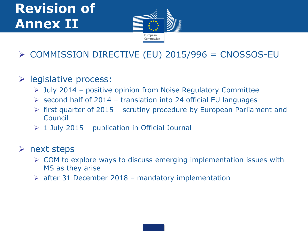# **Revision of Annex II**



### $\triangleright$  COMMISSION DIRECTIVE (EU) 2015/996 = CNOSSOS-EU

### $\triangleright$  legislative process:

- $\triangleright$  July 2014 positive opinion from Noise Regulatory Committee
- $\triangleright$  second half of 2014 translation into 24 official EU languages
- $\triangleright$  first quarter of 2015 scrutiny procedure by European Parliament and Council
- $\geq 1$  July 2015 publication in Official Journal

### $\triangleright$  next steps

- $\triangleright$  COM to explore ways to discuss emerging implementation issues with MS as they arise
- $\geq$  after 31 December 2018 mandatory implementation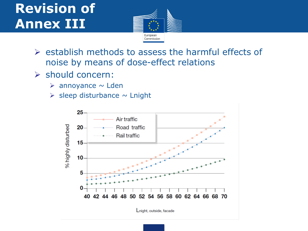# **Revision of Annex III**



- $\triangleright$  establish methods to assess the harmful effects of noise by means of dose-effect relations
- should concern:
	- $\triangleright$  annoyance  $\sim$  Lden
	- $\triangleright$  sleep disturbance  $\sim$  Lnight

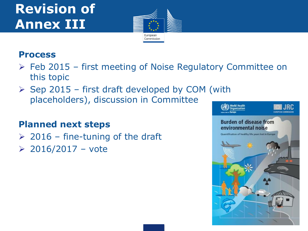# **Revision of Annex III**



### **Process**

- $\triangleright$  Feb 2015 first meeting of Noise Regulatory Committee on this topic
- $\triangleright$  Sep 2015 first draft developed by COM (with placeholders), discussion in Committee

### **Planned next steps**

- $\geq$  2016 fine-tuning of the draft
- $\geq 2016/2017 \text{vote}$

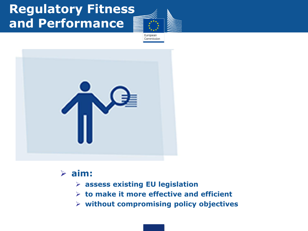## **Regulatory Fitness and Performance**

European Commission



### **aim:**

- **assess existing EU legislation**
- **to make it more effective and efficient**
- **without compromising policy objectives**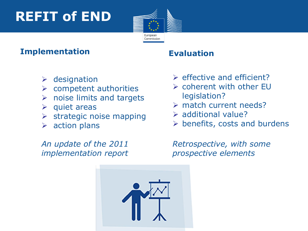# **REFIT of END**



### **Implementation**

- $\triangleright$  designation
- $\triangleright$  competent authorities
- $\triangleright$  noise limits and targets
- $\triangleright$  quiet areas
- $\triangleright$  strategic noise mapping
- $\triangleright$  action plans

### *An update of the 2011 implementation report*

### • **Evaluation**

- $\triangleright$  effective and efficient?
- coherent with other EU legislation?
- match current needs?
- $\triangleright$  additional value?
- $\triangleright$  benefits, costs and burdens

*Retrospective, with some prospective elements*

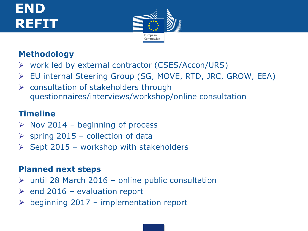# **END REFIT**



### **Methodology**

- $\triangleright$  work led by external contractor (CSES/Accon/URS)
- EU internal Steering Group (SG, MOVE, RTD, JRC, GROW, EEA)
- $\triangleright$  consultation of stakeholders through questionnaires/interviews/workshop/online consultation

### **Timeline**

- $\triangleright$  Nov 2014 beginning of process
- $\triangleright$  spring 2015 collection of data
- $\triangleright$  Sept 2015 workshop with stakeholders

### **Planned next steps**

- $\triangleright$  until 28 March 2016 online public consultation
- $\triangleright$  end 2016 evaluation report
- beginning 2017 implementation report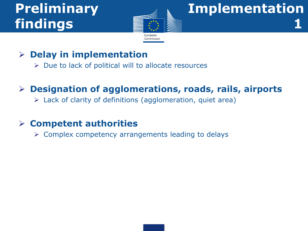# **findings 1**



# **Preliminary Implementation**

### **Delay in implementation**

 $\triangleright$  Due to lack of political will to allocate resources

### **Designation of agglomerations, roads, rails, airports**

 $\triangleright$  Lack of clarity of definitions (agglomeration, quiet area)

### **Competent authorities**

 $\triangleright$  Complex competency arrangements leading to delays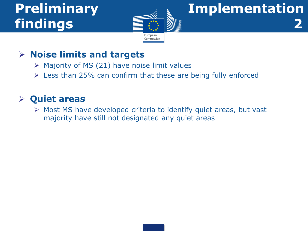# **findings 2**



# **Preliminary Implementation**

### **Noise limits and targets**

- $\triangleright$  Majority of MS (21) have noise limit values
- $\geq$  Less than 25% can confirm that these are being fully enforced

### **Quiet areas**

 $\triangleright$  Most MS have developed criteria to identify quiet areas, but vast majority have still not designated any quiet areas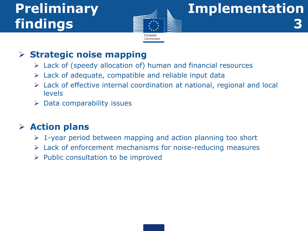# **findings 3**



# **Preliminary Implementation**

### **Strategic noise mapping**

- $\triangleright$  Lack of (speedy allocation of) human and financial resources
- $\triangleright$  Lack of adequate, compatible and reliable input data
- Lack of effective internal coordination at national, regional and local levels
- $\triangleright$  Data comparability issues

### **Action plans**

- $\triangleright$  1-year period between mapping and action planning too short
- $\triangleright$  Lack of enforcement mechanisms for noise-reducing measures
- $\triangleright$  Public consultation to be improved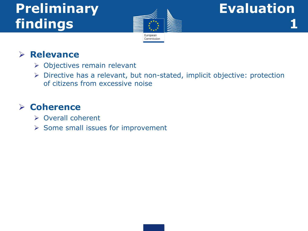# **Preliminary Andrew Evaluation findings 1**



### **Relevance**

- **>** Objectives remain relevant
- Directive has a relevant, but non-stated, implicit objective: protection of citizens from excessive noise

### **Coherence**

- ▶ Overall coherent
- $\triangleright$  Some small issues for improvement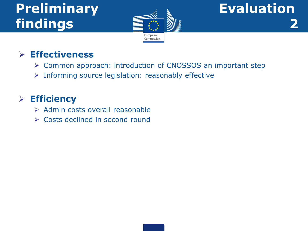# **Preliminary Algebra Evaluation findings 2**



### **Effectiveness**

- Common approach: introduction of CNOSSOS an important step
- $\triangleright$  Informing source legislation: reasonably effective

### **Efficiency**

- $\triangleright$  Admin costs overall reasonable
- **► Costs declined in second round**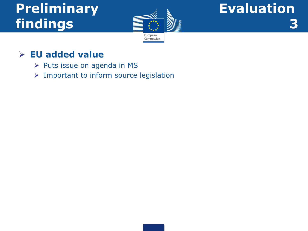# Preliminary Andrew Evaluation **Findings 3**



### **EU added value**

- $\triangleright$  Puts issue on agenda in MS
- $\triangleright$  Important to inform source legislation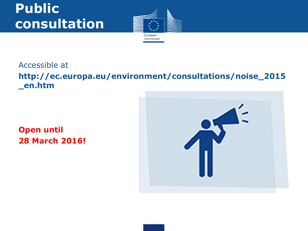# **Public consultation**



### Accessible at **http://ec.europa.eu/environment/consultations/noise\_2015 \_en.htm**

### **Open until 28 March 2016!**